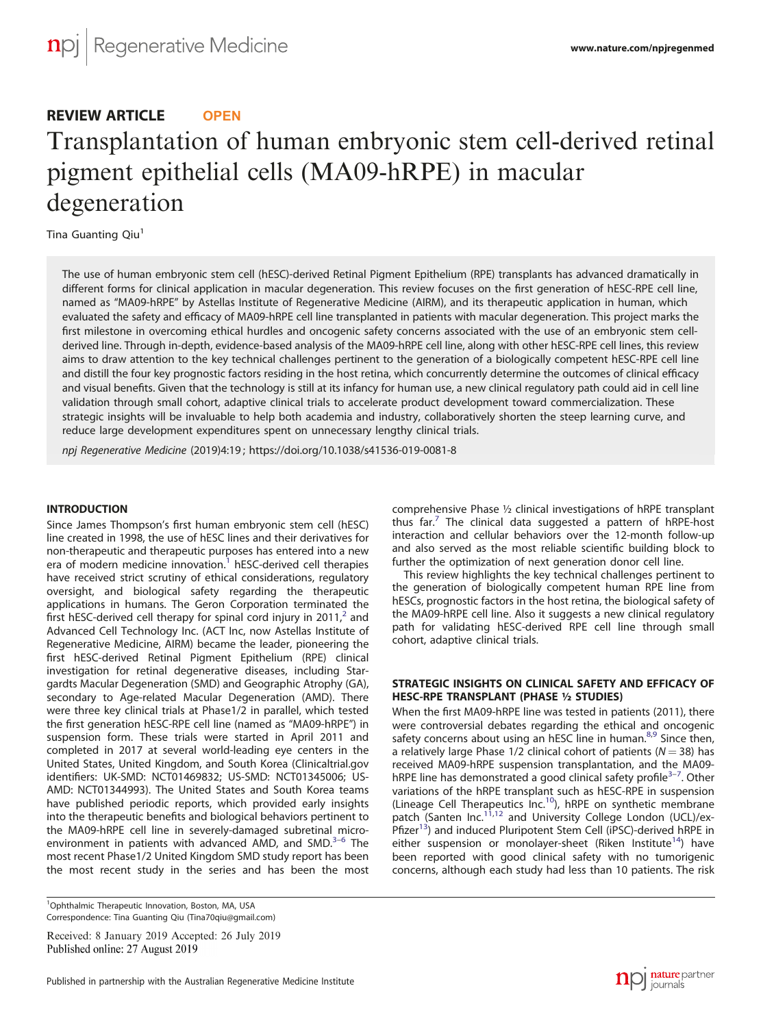# REVIEW ARTICLE **OPEN** Transplantation of human embryonic stem cell-derived retinal pigment epithelial cells (MA09-hRPE) in macular degeneration

Tina Guanting Qiu<sup>1</sup>

The use of human embryonic stem cell (hESC)-derived Retinal Pigment Epithelium (RPE) transplants has advanced dramatically in different forms for clinical application in macular degeneration. This review focuses on the first generation of hESC-RPE cell line, named as "MA09-hRPE" by Astellas Institute of Regenerative Medicine (AIRM), and its therapeutic application in human, which evaluated the safety and efficacy of MA09-hRPE cell line transplanted in patients with macular degeneration. This project marks the first milestone in overcoming ethical hurdles and oncogenic safety concerns associated with the use of an embryonic stem cellderived line. Through in-depth, evidence-based analysis of the MA09-hRPE cell line, along with other hESC-RPE cell lines, this review aims to draw attention to the key technical challenges pertinent to the generation of a biologically competent hESC-RPE cell line and distill the four key prognostic factors residing in the host retina, which concurrently determine the outcomes of clinical efficacy and visual benefits. Given that the technology is still at its infancy for human use, a new clinical regulatory path could aid in cell line validation through small cohort, adaptive clinical trials to accelerate product development toward commercialization. These strategic insights will be invaluable to help both academia and industry, collaboratively shorten the steep learning curve, and reduce large development expenditures spent on unnecessary lengthy clinical trials.

npj Regenerative Medicine (2019) 4:19 ; https://doi.org/1[0.1038/s41536-019-0081-8](https://doi.org/10.1038/s41536-019-0081-8)

## **INTRODUCTION**

Since James Thompson's first human embryonic stem cell (hESC) line created in 1998, the use of hESC lines and their derivatives for non-therapeutic and therapeutic purposes has entered into a new era of modern medicine innovation.<sup>[1](#page-4-0)</sup> hESC-derived cell therapies have received strict scrutiny of ethical considerations, regulatory oversight, and biological safety regarding the therapeutic applications in humans. The Geron Corporation terminated the first hESC-derived cell therapy for spinal cord injury in [2](#page-4-0)011, $<sup>2</sup>$  and</sup> Advanced Cell Technology Inc. (ACT Inc, now Astellas Institute of Regenerative Medicine, AIRM) became the leader, pioneering the first hESC-derived Retinal Pigment Epithelium (RPE) clinical investigation for retinal degenerative diseases, including Stargardts Macular Degeneration (SMD) and Geographic Atrophy (GA), secondary to Age-related Macular Degeneration (AMD). There were three key clinical trials at Phase1/2 in parallel, which tested the first generation hESC-RPE cell line (named as "MA09-hRPE") in suspension form. These trials were started in April 2011 and completed in 2017 at several world-leading eye centers in the United States, United Kingdom, and South Korea (Clinicaltrial.gov identifiers: UK-SMD: NCT01469832; US-SMD: NCT01345006; US-AMD: NCT01344993). The United States and South Korea teams have published periodic reports, which provided early insights into the therapeutic benefits and biological behaviors pertinent to the MA09-hRPE cell line in severely-damaged subretinal micro-environment in patients with advanced AMD, and SMD.<sup>[3](#page-4-0)-[6](#page-4-0)</sup> The most recent Phase1/2 United Kingdom SMD study report has been the most recent study in the series and has been the most

<sup>1</sup>Ophthalmic Therapeutic Innovation, Boston, MA, USA Correspondence: Tina Guanting Qiu [\(Tina70qiu@gmail.com](mailto:Tina70qiu@gmail.com))

Received: 8 January 2019 Accepted: 26 July 2019

comprehensive Phase ½ clinical investigations of hRPE transplant thus far.<sup>[7](#page-4-0)</sup> The clinical data suggested a pattern of hRPE-host interaction and cellular behaviors over the 12-month follow-up and also served as the most reliable scientific building block to further the optimization of next generation donor cell line.

This review highlights the key technical challenges pertinent to the generation of biologically competent human RPE line from hESCs, prognostic factors in the host retina, the biological safety of the MA09-hRPE cell line. Also it suggests a new clinical regulatory path for validating hESC-derived RPE cell line through small cohort, adaptive clinical trials.

# STRATEGIC INSIGHTS ON CLINICAL SAFETY AND EFFICACY OF HESC-RPE TRANSPLANT (PHASE ½ STUDIES)

When the first MA09-hRPE line was tested in patients (2011), there were controversial debates regarding the ethical and oncogenic safety concerns about using an hESC line in human.<sup>[8,9](#page-4-0)</sup> Since then, a relatively large Phase 1/2 clinical cohort of patients ( $N = 38$ ) has received MA09-hRPE suspension transplantation, and the MA09- hRPE line has demonstrated a good clinical safety profile<sup>[3](#page-4-0)-[7](#page-4-0)</sup>. Other variations of the hRPE transplant such as hESC-RPE in suspension (Lineage Cell Therapeutics Inc.<sup>10</sup>), hRPE on synthetic membrane patch (Santen Inc.<sup>11,12</sup> and University College London (UCL)/ex-Pfizer<sup>[13](#page-4-0)</sup>) and induced Pluripotent Stem Cell (iPSC)-derived hRPE in either suspension or monolayer-sheet (Riken Institute<sup>14</sup>) have been reported with good clinical safety with no tumorigenic concerns, although each study had less than 10 patients. The risk

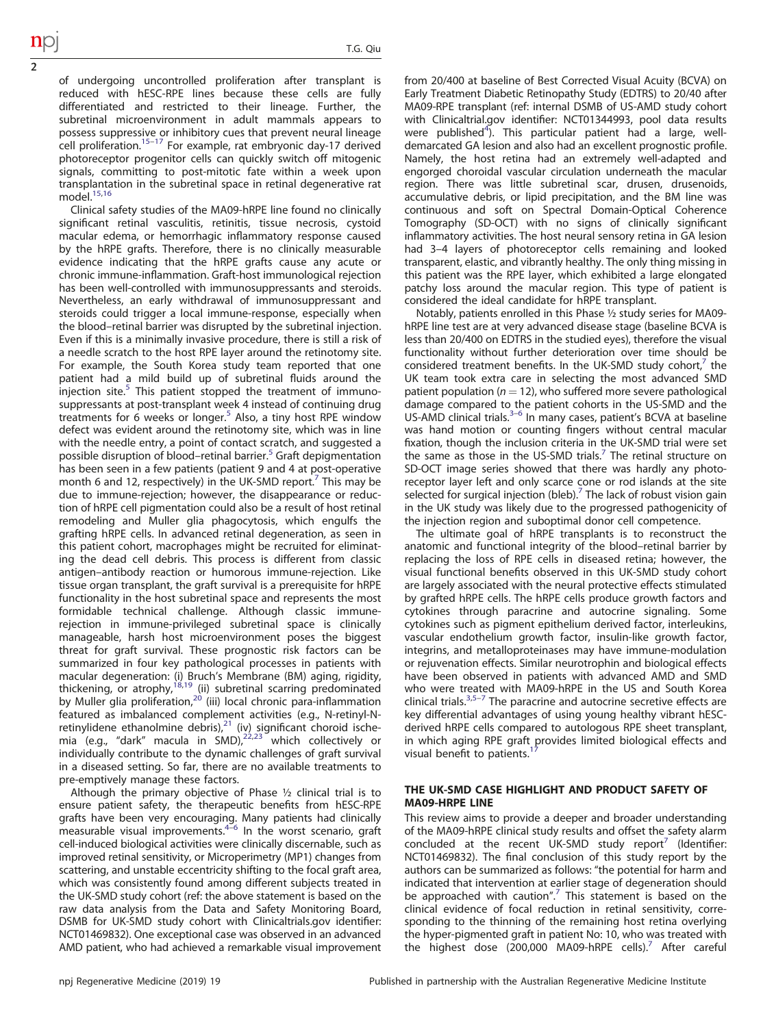of undergoing uncontrolled proliferation after transplant is reduced with hESC-RPE lines because these cells are fully differentiated and restricted to their lineage. Further, the subretinal microenvironment in adult mammals appears to possess suppressive or inhibitory cues that prevent neural lineage cell proliferation.<sup>[15](#page-4-0)–[17](#page-4-0)</sup> For example, rat embryonic day-17 derived photoreceptor progenitor cells can quickly switch off mitogenic signals, committing to post-mitotic fate within a week upon transplantation in the subretinal space in retinal degenerative rat  $model.<sup>15,16</sup>$  $model.<sup>15,16</sup>$  $model.<sup>15,16</sup>$ 

2

Clinical safety studies of the MA09-hRPE line found no clinically significant retinal vasculitis, retinitis, tissue necrosis, cystoid macular edema, or hemorrhagic inflammatory response caused by the hRPE grafts. Therefore, there is no clinically measurable evidence indicating that the hRPE grafts cause any acute or chronic immune-inflammation. Graft-host immunological rejection has been well-controlled with immunosuppressants and steroids. Nevertheless, an early withdrawal of immunosuppressant and steroids could trigger a local immune-response, especially when the blood–retinal barrier was disrupted by the subretinal injection. Even if this is a minimally invasive procedure, there is still a risk of a needle scratch to the host RPE layer around the retinotomy site. For example, the South Korea study team reported that one patient had a mild build up of subretinal fluids around the injection site. $5$  This patient stopped the treatment of immunosuppressants at post-transplant week 4 instead of continuing drug treatments for 6 weeks or longer.<sup>[5](#page-4-0)</sup> Also, a tiny host RPE window defect was evident around the retinotomy site, which was in line with the needle entry, a point of contact scratch, and suggested a possible disruption of blood–retinal barrier.<sup>[5](#page-4-0)</sup> Graft depigmentation has been seen in a few patients (patient 9 and 4 at post-operative month 6 and 12, respectively) in the UK-SMD report.<sup>[7](#page-4-0)</sup> This may be due to immune-rejection; however, the disappearance or reduction of hRPE cell pigmentation could also be a result of host retinal remodeling and Muller glia phagocytosis, which engulfs the grafting hRPE cells. In advanced retinal degeneration, as seen in this patient cohort, macrophages might be recruited for eliminating the dead cell debris. This process is different from classic antigen–antibody reaction or humorous immune-rejection. Like tissue organ transplant, the graft survival is a prerequisite for hRPE functionality in the host subretinal space and represents the most formidable technical challenge. Although classic immunerejection in immune-privileged subretinal space is clinically manageable, harsh host microenvironment poses the biggest threat for graft survival. These prognostic risk factors can be summarized in four key pathological processes in patients with macular degeneration: (i) Bruch's Membrane (BM) aging, rigidity, thickening, or atrophy,<sup>[18,19](#page-4-0)</sup> (ii) subretinal scarring predominated by Muller glia proliferation,  $2\delta$  (iii) local chronic para-inflammation featured as imbalanced complement activities (e.g., N-retinyl-Nretinylidene ethanolmine debris), $^{21}$  $^{21}$  $^{21}$  (iv) significant choroid ischemia (e.g., "dark" macula in SMD), $22,23$  which collectively or individually contribute to the dynamic challenges of graft survival in a diseased setting. So far, there are no available treatments to pre-emptively manage these factors.

Although the primary objective of Phase ½ clinical trial is to ensure patient safety, the therapeutic benefits from hESC-RPE grafts have been very encouraging. Many patients had clinically measurable visual improvements.<sup>4–[6](#page-4-0)</sup> In the worst scenario, graft cell-induced biological activities were clinically discernable, such as improved retinal sensitivity, or Microperimetry (MP1) changes from scattering, and unstable eccentricity shifting to the focal graft area, which was consistently found among different subjects treated in the UK-SMD study cohort (ref: the above statement is based on the raw data analysis from the Data and Safety Monitoring Board, DSMB for UK-SMD study cohort with Clinicaltrials.gov identifier: NCT01469832). One exceptional case was observed in an advanced AMD patient, who had achieved a remarkable visual improvement from 20/400 at baseline of Best Corrected Visual Acuity (BCVA) on Early Treatment Diabetic Retinopathy Study (EDTRS) to 20/40 after MA09-RPE transplant (ref: internal DSMB of US-AMD study cohort with Clinicaltrial.gov identifier: NCT01344993, pool data results were published<sup>[4](#page-4-0)</sup>). This particular patient had a large, welldemarcated GA lesion and also had an excellent prognostic profile. Namely, the host retina had an extremely well-adapted and engorged choroidal vascular circulation underneath the macular region. There was little subretinal scar, drusen, drusenoids, accumulative debris, or lipid precipitation, and the BM line was continuous and soft on Spectral Domain-Optical Coherence Tomography (SD-OCT) with no signs of clinically significant inflammatory activities. The host neural sensory retina in GA lesion had 3–4 layers of photoreceptor cells remaining and looked transparent, elastic, and vibrantly healthy. The only thing missing in this patient was the RPE layer, which exhibited a large elongated patchy loss around the macular region. This type of patient is considered the ideal candidate for hRPE transplant.

Notably, patients enrolled in this Phase ½ study series for MA09 hRPE line test are at very advanced disease stage (baseline BCVA is less than 20/400 on EDTRS in the studied eyes), therefore the visual functionality without further deterioration over time should be considered treatment benefits. In the UK-SMD study cohort, the UK team took extra care in selecting the most advanced SMD patient population ( $n = 12$ ), who suffered more severe pathological damage compared to the patient cohorts in the US-SMD and the damage compared to the patient conords in the 05 SMB and the US-AMD clinical trials.<sup>3–[6](#page-4-0)</sup> In many cases, patient's BCVA at baseline was hand motion or counting fingers without central macular fixation, though the inclusion criteria in the UK-SMD trial were set the same as those in the US-SMD trials.<sup>7</sup> The retinal structure on SD-OCT image series showed that there was hardly any photoreceptor layer left and only scarce cone or rod islands at the site selected for surgical injection (bleb).<sup>7</sup> The lack of robust vision gain in the UK study was likely due to the progressed pathogenicity of the injection region and suboptimal donor cell competence.

The ultimate goal of hRPE transplants is to reconstruct the anatomic and functional integrity of the blood–retinal barrier by replacing the loss of RPE cells in diseased retina; however, the visual functional benefits observed in this UK-SMD study cohort are largely associated with the neural protective effects stimulated by grafted hRPE cells. The hRPE cells produce growth factors and cytokines through paracrine and autocrine signaling. Some cytokines such as pigment epithelium derived factor, interleukins, vascular endothelium growth factor, insulin-like growth factor, integrins, and metalloproteinases may have immune-modulation or rejuvenation effects. Similar neurotrophin and biological effects have been observed in patients with advanced AMD and SMD who were treated with MA09-hRPE in the US and South Korea clinical trials. $3,5-7$  $3,5-7$  $3,5-7$  $3,5-7$  $3,5-7$  The paracrine and autocrine secretive effects are key differential advantages of using young healthy vibrant hESCderived hRPE cells compared to autologous RPE sheet transplant, in which aging RPE graft provides limited biological effects and visual benefit to patients.<sup>1</sup>

## THE UK-SMD CASE HIGHLIGHT AND PRODUCT SAFETY OF MA09-HRPE LINE

This review aims to provide a deeper and broader understanding of the MA09-hRPE clinical study results and offset the safety alarm concluded at the recent UK-SMD study report $'$  (Identifier: NCT01469832). The final conclusion of this study report by the authors can be summarized as follows: "the potential for harm and indicated that intervention at earlier stage of degeneration should be approached with caution".<sup>[7](#page-4-0)</sup> This statement is based on the clinical evidence of focal reduction in retinal sensitivity, corresponding to the thinning of the remaining host retina overlying the hyper-pigmented graft in patient No: 10, who was treated with the highest dose (200,000 MA09-hRPE cells).<sup>[7](#page-4-0)</sup> After careful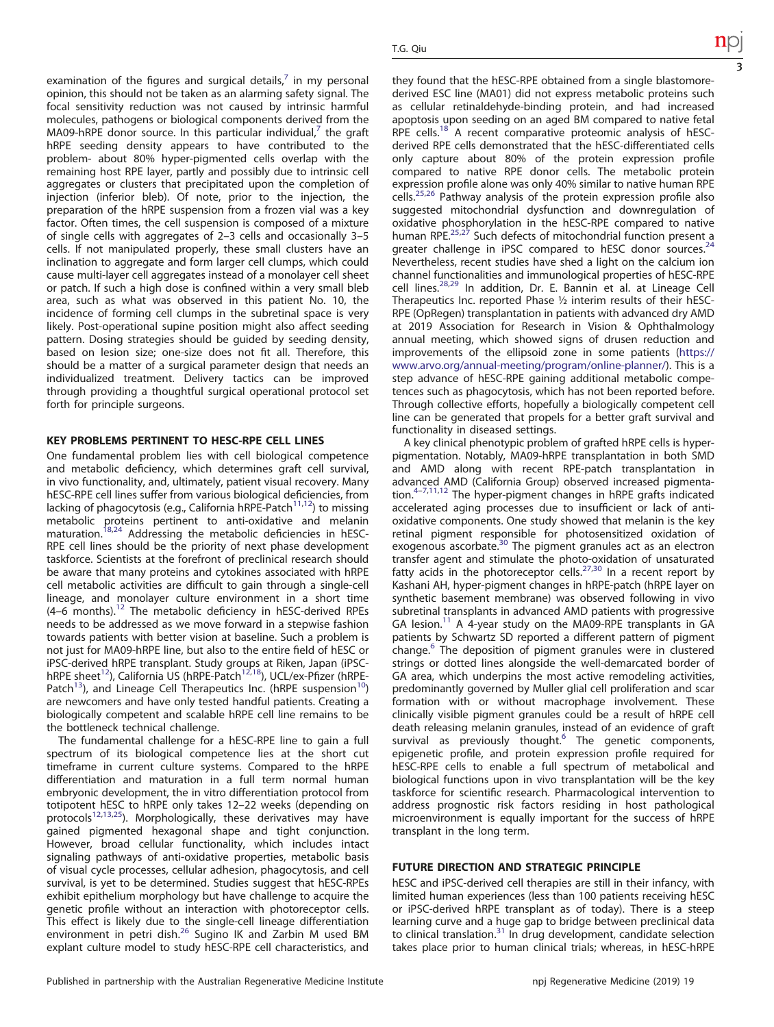examination of the figures and surgical details, $\overline{a}$  in my personal opinion, this should not be taken as an alarming safety signal. The focal sensitivity reduction was not caused by intrinsic harmful molecules, pathogens or biological components derived from the MA09-hRPE donor source. In this particular individual, $<sup>7</sup>$  $<sup>7</sup>$  $<sup>7</sup>$  the graft</sup> hRPE seeding density appears to have contributed to the problem- about 80% hyper-pigmented cells overlap with the remaining host RPE layer, partly and possibly due to intrinsic cell aggregates or clusters that precipitated upon the completion of injection (inferior bleb). Of note, prior to the injection, the preparation of the hRPE suspension from a frozen vial was a key factor. Often times, the cell suspension is composed of a mixture of single cells with aggregates of 2–3 cells and occasionally 3–5 cells. If not manipulated properly, these small clusters have an inclination to aggregate and form larger cell clumps, which could cause multi-layer cell aggregates instead of a monolayer cell sheet or patch. If such a high dose is confined within a very small bleb area, such as what was observed in this patient No. 10, the incidence of forming cell clumps in the subretinal space is very likely. Post-operational supine position might also affect seeding pattern. Dosing strategies should be guided by seeding density, based on lesion size; one-size does not fit all. Therefore, this should be a matter of a surgical parameter design that needs an individualized treatment. Delivery tactics can be improved through providing a thoughtful surgical operational protocol set forth for principle surgeons.

#### KEY PROBLEMS PERTINENT TO HESC-RPE CELL LINES

One fundamental problem lies with cell biological competence and metabolic deficiency, which determines graft cell survival, in vivo functionality, and, ultimately, patient visual recovery. Many hESC-RPE cell lines suffer from various biological deficiencies, from lacking of phagocytosis (e.g., California hRPE-Patch $11,12$  $11,12$ ) to missing metabolic proteins pertinent to anti-oxidative and melanin<br>maturation.<sup>[18,24](#page-4-0)</sup> Addressing the metabolic deficiencies in hESC-RPE cell lines should be the priority of next phase development taskforce. Scientists at the forefront of preclinical research should be aware that many proteins and cytokines associated with hRPE cell metabolic activities are difficult to gain through a single-cell lineage, and monolayer culture environment in a short time (4–6 months).[12](#page-4-0) The metabolic deficiency in hESC-derived RPEs needs to be addressed as we move forward in a stepwise fashion towards patients with better vision at baseline. Such a problem is not just for MA09-hRPE line, but also to the entire field of hESC or iPSC-derived hRPE transplant. Study groups at Riken, Japan (iPSC-hRPE sheet<sup>[12](#page-4-0)</sup>), California US (hRPE-Patch<sup>12,18</sup>), UCL/ex-Pfizer (hRPE-Patch<sup>13</sup>), and Lineage Cell Therapeutics Inc. (hRPE suspension<sup>[10](#page-4-0)</sup>) are newcomers and have only tested handful patients. Creating a biologically competent and scalable hRPE cell line remains to be the bottleneck technical challenge.

The fundamental challenge for a hESC-RPE line to gain a full spectrum of its biological competence lies at the short cut timeframe in current culture systems. Compared to the hRPE differentiation and maturation in a full term normal human embryonic development, the in vitro differentiation protocol from totipotent hESC to hRPE only takes 12–22 weeks (depending on protocols<sup>[12,13,25](#page-4-0)</sup>). Morphologically, these derivatives may have gained pigmented hexagonal shape and tight conjunction. However, broad cellular functionality, which includes intact signaling pathways of anti-oxidative properties, metabolic basis of visual cycle processes, cellular adhesion, phagocytosis, and cell survival, is yet to be determined. Studies suggest that hESC-RPEs exhibit epithelium morphology but have challenge to acquire the genetic profile without an interaction with photoreceptor cells. This effect is likely due to the single-cell lineage differentiation environment in petri dish.<sup>[26](#page-4-0)</sup> Sugino IK and Zarbin M used BM explant culture model to study hESC-RPE cell characteristics, and they found that the hESC-RPE obtained from a single blastomorederived ESC line (MA01) did not express metabolic proteins such as cellular retinaldehyde-binding protein, and had increased apoptosis upon seeding on an aged BM compared to native fetal RPE cells.<sup>[18](#page-4-0)</sup> A recent comparative proteomic analysis of hESCderived RPE cells demonstrated that the hESC-differentiated cells only capture about 80% of the protein expression profile compared to native RPE donor cells. The metabolic protein expression profile alone was only 40% similar to native human RPE cells.<sup>[25,26](#page-4-0)</sup> Pathway analysis of the protein expression profile also suggested mitochondrial dysfunction and downregulation of oxidative phosphorylation in the hESC-RPE compared to native human RPE<sup>[25,27](#page-4-0)</sup> Such defects of mitochondrial function present a greater challenge in iPSC compared to hESC donor sources.<sup>[24](#page-4-0)</sup> Nevertheless, recent studies have shed a light on the calcium ion channel functionalities and immunological properties of hESC-RPE cell lines.[28,29](#page-4-0) In addition, Dr. E. Bannin et al. at Lineage Cell Therapeutics Inc. reported Phase ½ interim results of their hESC-RPE (OpRegen) transplantation in patients with advanced dry AMD at 2019 Association for Research in Vision & Ophthalmology annual meeting, which showed signs of drusen reduction and improvements of the ellipsoid zone in some patients ([https://](https://www.arvo.org/annual-meeting/program/online-planner/) [www.arvo.org/annual-meeting/program/online-planner/\)](https://www.arvo.org/annual-meeting/program/online-planner/). This is a step advance of hESC-RPE gaining additional metabolic competences such as phagocytosis, which has not been reported before. Through collective efforts, hopefully a biologically competent cell line can be generated that propels for a better graft survival and functionality in diseased settings.

A key clinical phenotypic problem of grafted hRPE cells is hyperpigmentation. Notably, MA09-hRPE transplantation in both SMD and AMD along with recent RPE-patch transplantation in advanced AMD (California Group) observed increased pigmenta-tion.<sup>4–[7,11,12](#page-4-0)</sup> The hyper-pigment changes in hRPE grafts indicated accelerated aging processes due to insufficient or lack of antioxidative components. One study showed that melanin is the key retinal pigment responsible for photosensitized oxidation of exogenous ascorbate.[30](#page-4-0) The pigment granules act as an electron transfer agent and stimulate the photo-oxidation of unsaturated fatty acids in the photoreceptor cells.<sup>[27](#page-4-0),[30](#page-4-0)</sup> In a recent report by Kashani AH, hyper-pigment changes in hRPE-patch (hRPE layer on synthetic basement membrane) was observed following in vivo subretinal transplants in advanced AMD patients with progressive GA lesion.<sup>[11](#page-4-0)</sup> A 4-year study on the MA09-RPE transplants in GA patients by Schwartz SD reported a different pattern of pigment change.<sup>6</sup> The deposition of pigment granules were in clustered strings or dotted lines alongside the well-demarcated border of GA area, which underpins the most active remodeling activities, predominantly governed by Muller glial cell proliferation and scar formation with or without macrophage involvement. These clinically visible pigment granules could be a result of hRPE cell death releasing melanin granules, instead of an evidence of graft survival as previously thought. $6$  The genetic components, epigenetic profile, and protein expression profile required for hESC-RPE cells to enable a full spectrum of metabolical and biological functions upon in vivo transplantation will be the key taskforce for scientific research. Pharmacological intervention to address prognostic risk factors residing in host pathological microenvironment is equally important for the success of hRPE transplant in the long term.

## FUTURE DIRECTION AND STRATEGIC PRINCIPLE

hESC and iPSC-derived cell therapies are still in their infancy, with limited human experiences (less than 100 patients receiving hESC or iPSC-derived hRPE transplant as of today). There is a steep learning curve and a huge gap to bridge between preclinical data to clinical translation. $31$  In drug development, candidate selection takes place prior to human clinical trials; whereas, in hESC-hRPE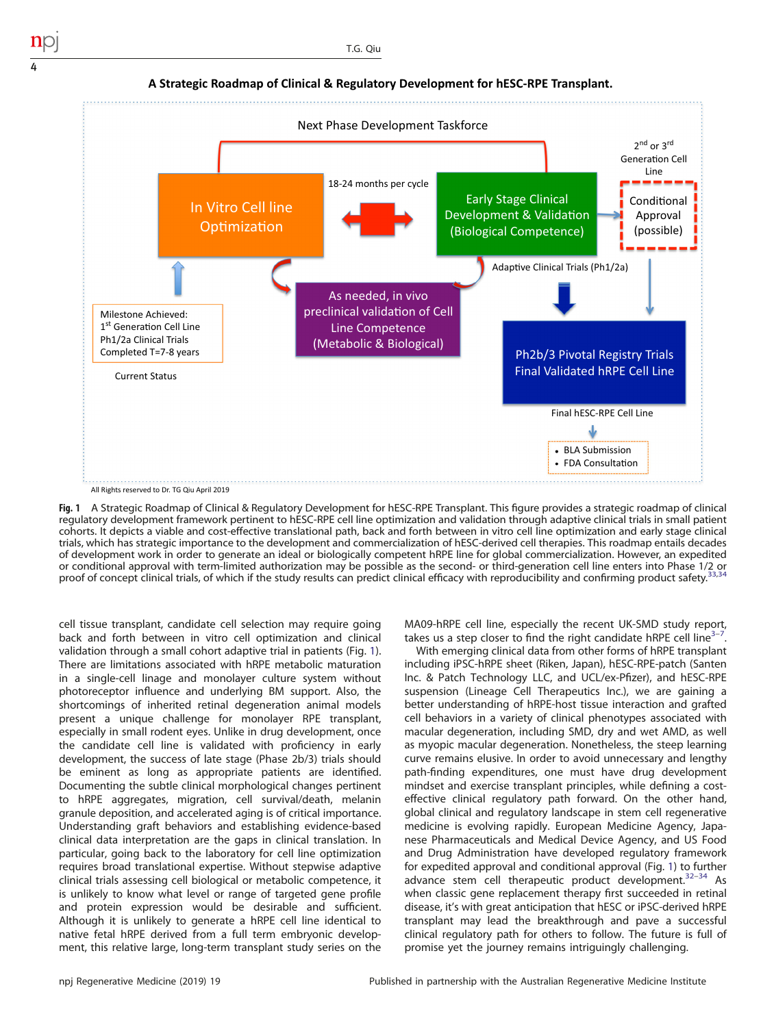

**A Strategic Roadmap of Clinical & Regulatory Development for hESC-RPE Transplant.**

Fig. 1 A Strategic Roadmap of Clinical & Regulatory Development for hESC-RPE Transplant. This figure provides a strategic roadmap of clinical regulatory development framework pertinent to hESC-RPE cell line optimization and validation through adaptive clinical trials in small patient cohorts. It depicts a viable and cost-effective translational path, back and forth between in vitro cell line optimization and early stage clinical trials, which has strategic importance to the development and commercialization of hESC-derived cell therapies. This roadmap entails decades of development work in order to generate an ideal or biologically competent hRPE line for global commercialization. However, an expedited or conditional approval with term-limited authorization may be possible as the second- or third-generation cell line enters into Phase 1/2 or<br>proof of concept clinical trials, of which if the study results can predict clin

cell tissue transplant, candidate cell selection may require going back and forth between in vitro cell optimization and clinical validation through a small cohort adaptive trial in patients (Fig. 1). There are limitations associated with hRPE metabolic maturation in a single-cell linage and monolayer culture system without photoreceptor influence and underlying BM support. Also, the shortcomings of inherited retinal degeneration animal models present a unique challenge for monolayer RPE transplant, especially in small rodent eyes. Unlike in drug development, once the candidate cell line is validated with proficiency in early development, the success of late stage (Phase 2b/3) trials should be eminent as long as appropriate patients are identified. Documenting the subtle clinical morphological changes pertinent to hRPE aggregates, migration, cell survival/death, melanin granule deposition, and accelerated aging is of critical importance. Understanding graft behaviors and establishing evidence-based clinical data interpretation are the gaps in clinical translation. In particular, going back to the laboratory for cell line optimization requires broad translational expertise. Without stepwise adaptive clinical trials assessing cell biological or metabolic competence, it is unlikely to know what level or range of targeted gene profile and protein expression would be desirable and sufficient. Although it is unlikely to generate a hRPE cell line identical to native fetal hRPE derived from a full term embryonic development, this relative large, long-term transplant study series on the MA09-hRPE cell line, especially the recent UK-SMD study report, takes us a step closer to find the right candidate hRPE cell line $3 3-$ .

With emerging clinical data from other forms of hRPE transplant including iPSC-hRPE sheet (Riken, Japan), hESC-RPE-patch (Santen Inc. & Patch Technology LLC, and UCL/ex-Pfizer), and hESC-RPE suspension (Lineage Cell Therapeutics Inc.), we are gaining a better understanding of hRPE-host tissue interaction and grafted cell behaviors in a variety of clinical phenotypes associated with macular degeneration, including SMD, dry and wet AMD, as well as myopic macular degeneration. Nonetheless, the steep learning curve remains elusive. In order to avoid unnecessary and lengthy path-finding expenditures, one must have drug development mindset and exercise transplant principles, while defining a costeffective clinical regulatory path forward. On the other hand, global clinical and regulatory landscape in stem cell regenerative medicine is evolving rapidly. European Medicine Agency, Japanese Pharmaceuticals and Medical Device Agency, and US Food and Drug Administration have developed regulatory framework for expedited approval and conditional approval (Fig. 1) to further advance stem cell therapeutic product development. $32-34$  $32-34$  $32-34$  As when classic gene replacement therapy first succeeded in retinal disease, it's with great anticipation that hESC or iPSC-derived hRPE transplant may lead the breakthrough and pave a successful clinical regulatory path for others to follow. The future is full of promise yet the journey remains intriguingly challenging.